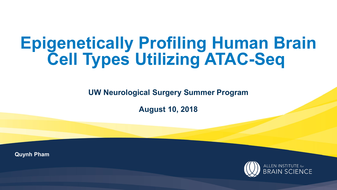# **Epigenetically Profiling Human Brain Cell Types Utilizing ATAC-Seq**

**UW Neurological Surgery Summer Program**

**August 10, 2018**

**Quynh Pham**

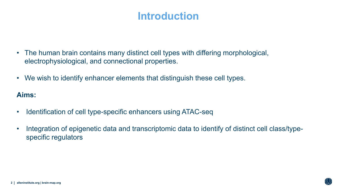# **Introduction**

- The human brain contains many distinct cell types with differing morphological, electrophysiological, and connectional properties.
- We wish to identify enhancer elements that distinguish these cell types.

**Aims:**

- Identification of cell type-specific enhancers using ATAC-seq
- Integration of epigenetic data and transcriptomic data to identify of distinct cell class/typespecific regulators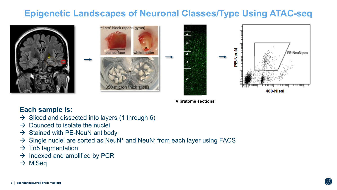# **Epigenetic Landscapes of Neuronal Classes/Type Using ATAC-seq**







**Vibratome sections**

### **Each sample is:**

- $\rightarrow$  Sliced and dissected into layers (1 through 6)
- $\rightarrow$  Dounced to isolate the nuclei
- $\rightarrow$  Stained with PE-NeuN antibody
- $\rightarrow$  Single nuclei are sorted as NeuN<sup>+</sup> and NeuN<sup>-</sup> from each layer using FACS
- $\rightarrow$  Tn5 tagmentation
- $\rightarrow$  Indexed and amplified by PCR
- $\rightarrow$  MiSeq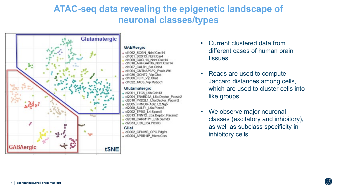## **ATAC-seq data revealing the epigenetic landscape of neuronal classes/types**



#### **GABAergic**

- cl1062 SCGN Ndnf.Cxcl14
- cl1001 SOX13 Ndnf.Car4
- cl1009 CXCL14 Ndnf.Cxcl14 cl1010 ARHGAP36 Ndnf.Cxcl14
- cl1007 CALB1 Sst.Cbln4
- cl1004 CNTNAP3P2 Pvalb.Wt1
- cl1036 GCNT2 Vip.Chat
- e cl1006 FLT1 Vip.Chat
- cl1022 TAC3 Vip Myboc1

#### Glutamatergic

d2001 TTC6 L5b.Cdh13 cl2004 TRABD2A L5a.Deptor Pacsin2 cl2016 PKD2L1\_L5a.Deptor\_Pacsin2 d2005 FRMD6-AS2 L2.Ngb cl2009 SULF1 L6a.Picxd3 cl2002 TPBG L4.Sparcl1 cl2013\_TNNT2\_L5a.Deptor\_Pacsin2 cl2010 CARM1P1 L5b.Samd3  $_e$  cl2033 IL26 L6a.Plcxd3

#### Glial

- cl3002 GPNMB OPC.Pdgfra « cl3004 APBB1IP Micro.Ctss

- Current clustered data from different cases of human brain tissues
- Reads are used to compute Jaccard distances among cells, which are used to cluster cells into like groups
- We observe major neuronal classes (excitatory and inhibitory), as well as subclass specificity in inhibitory cells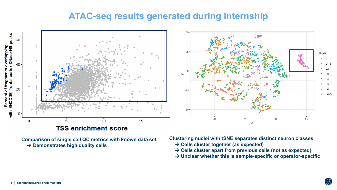### **ATAC-seq results generated during internship**



**Comparison of single cell QC metrics with known data set → Demonstrates high quality cells** 

**Clustering nuclei with tSNE separates distinct neuron classes**

- **Cells cluster together (as expected)**
- **Cells cluster apart from previous cells (not as expected)**
- **Unclear whether this is sample-specific or operator-specific**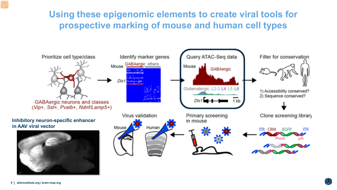# **Using these epigenomic elements to create viral tools for prospective marking of mouse and human cell types**